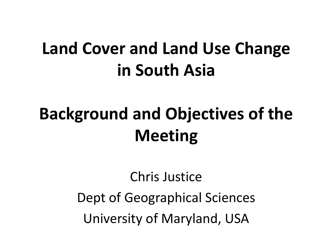## **Land Cover and Land Use Change in South Asia**

# **Background and Objectives of the Meeting**

Chris Justice Dept of Geographical Sciences University of Maryland, USA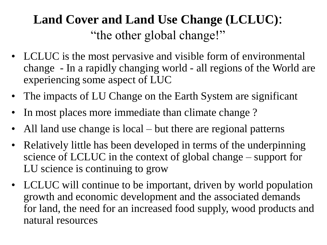### **Land Cover and Land Use Change (LCLUC)**: "the other global change!"

- LCLUC is the most pervasive and visible form of environmental change - In a rapidly changing world - all regions of the World are experiencing some aspect of LUC
- The impacts of LU Change on the Earth System are significant
- In most places more immediate than climate change?
- All land use change is local but there are regional patterns
- Relatively little has been developed in terms of the underpinning science of LCLUC in the context of global change – support for LU science is continuing to grow
- LCLUC will continue to be important, driven by world population growth and economic development and the associated demands for land, the need for an increased food supply, wood products and natural resources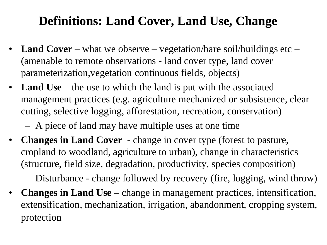### **Definitions: Land Cover, Land Use, Change**

- **Land Cover**  what we observe vegetation/bare soil/buildings etc (amenable to remote observations - land cover type, land cover parameterization,vegetation continuous fields, objects)
- Land Use the use to which the land is put with the associated management practices (e.g. agriculture mechanized or subsistence, clear cutting, selective logging, afforestation, recreation, conservation)
	- A piece of land may have multiple uses at one time
- **Changes in Land Cover**  change in cover type (forest to pasture, cropland to woodland, agriculture to urban), change in characteristics (structure, field size, degradation, productivity, species composition)
	- Disturbance change followed by recovery (fire, logging, wind throw)
- **Changes in Land Use** change in management practices, intensification, extensification, mechanization, irrigation, abandonment, cropping system, protection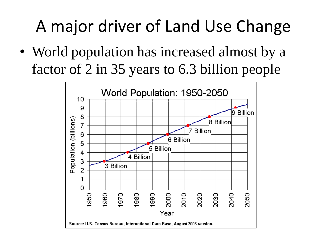# A major driver of Land Use Change

• World population has increased almost by a factor of 2 in 35 years to 6.3 billion people

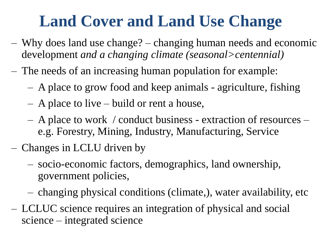## **Land Cover and Land Use Change**

- Why does land use change? changing human needs and economic development *and a changing climate (seasonal>centennial)*
- The needs of an increasing human population for example:
	- A place to grow food and keep animals agriculture, fishing
	- A place to live build or rent a house,
	- A place to work / conduct business extraction of resources e.g. Forestry, Mining, Industry, Manufacturing, Service
- Changes in LCLU driven by
	- socio-economic factors, demographics, land ownership, government policies,
	- changing physical conditions (climate,), water availability, etc
- LCLUC science requires an integration of physical and social science – integrated science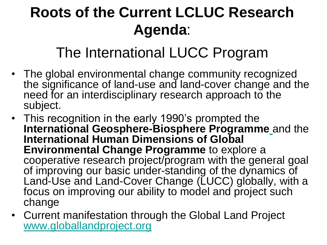## **Roots of the Current LCLUC Research Agenda**:

### The International LUCC Program

- The global environmental change community recognized the significance of land-use and land-cover change and the need for an interdisciplinary research approach to the subject.
- This recognition in the early 1990's prompted the **International Geosphere-Biosphere Programme** and the **International Human Dimensions of Global Environmental Change Programme** to explore a cooperative research project/program with the general goal of improving our basic under-standing of the dynamics of Land-Use and Land-Cover Change (LUCC) globally, with a focus on improving our ability to model and project such change
- Current manifestation through the Global Land Project [www.globallandproject.org](http://www.globallandproject.org/)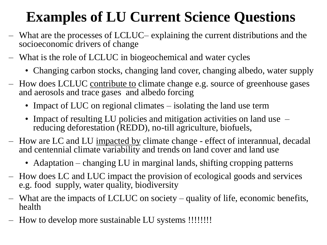### **Examples of LU Current Science Questions**

- What are the processes of LCLUC– explaining the current distributions and the socioeconomic drivers of change
- What is the role of LCLUC in biogeochemical and water cycles
	- Changing carbon stocks, changing land cover, changing albedo, water supply
- How does LCLUC contribute to climate change e.g. source of greenhouse gases and aerosols and trace gases and albedo forcing
	- Impact of LUC on regional climates isolating the land use term
	- Impact of resulting LU policies and mitigation activities on land use reducing deforestation (REDD), no-till agriculture, biofuels,
- How are LC and LU impacted by climate change effect of interannual, decadal and centennial climate variability and trends on land cover and land use
	- Adaptation changing LU in marginal lands, shifting cropping patterns
- How does LC and LUC impact the provision of ecological goods and services e.g. food supply, water quality, biodiversity
- What are the impacts of LCLUC on society quality of life, economic benefits, health
- How to develop more sustainable LU systems !!!!!!!!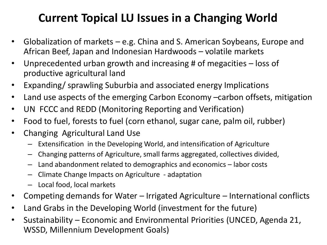### **Current Topical LU Issues in a Changing World**

- Globalization of markets e.g. China and S. American Soybeans, Europe and African Beef, Japan and Indonesian Hardwoods – volatile markets
- Unprecedented urban growth and increasing # of megacities loss of productive agricultural land
- Expanding/ sprawling Suburbia and associated energy Implications
- Land use aspects of the emerging Carbon Economy -carbon offsets, mitigation
- UN FCCC and REDD (Monitoring Reporting and Verification)
- Food to fuel, forests to fuel (corn ethanol, sugar cane, palm oil, rubber)
- Changing Agricultural Land Use
	- Extensification in the Developing World, and intensification of Agriculture
	- Changing patterns of Agriculture, small farms aggregated, collectives divided,
	- Land abandonment related to demographics and economics labor costs
	- Climate Change Impacts on Agriculture adaptation
	- Local food, local markets
- Competing demands for Water Irrigated Agriculture International conflicts
- Land Grabs in the Developing World (investment for the future)
- Sustainability Economic and Environmental Priorities (UNCED, Agenda 21, WSSD, Millennium Development Goals)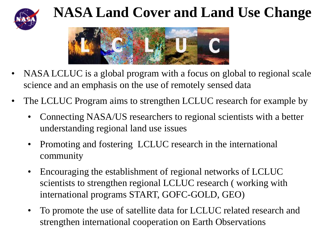

### **NASA Land Cover and Land Use Change**



- NASA LCLUC is a global program with a focus on global to regional scale science and an emphasis on the use of remotely sensed data
- The LCLUC Program aims to strengthen LCLUC research for example by
	- Connecting NASA/US researchers to regional scientists with a better understanding regional land use issues
	- Promoting and fostering LCLUC research in the international community
	- Encouraging the establishment of regional networks of LCLUC scientists to strengthen regional LCLUC research ( working with international programs START, GOFC-GOLD, GEO)
	- To promote the use of satellite data for LCLUC related research and strengthen international cooperation on Earth Observations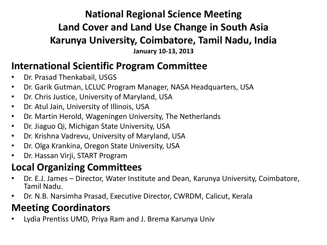#### **National Regional Science Meeting Land Cover and Land Use Change in South Asia Karunya University, Coimbatore, Tamil Nadu, India**

**January 10-13, 2013**

#### **International Scientific Program Committee**

- Dr. Prasad Thenkabail, USGS
- Dr. Garik Gutman, LCLUC Program Manager, NASA Headquarters, USA
- Dr. Chris Justice, University of Maryland, USA
- Dr. Atul Jain, University of Illinois, USA
- Dr. Martin Herold, Wageningen University, The Netherlands
- Dr. Jiaguo Qi, Michigan State University, USA
- Dr. Krishna Vadrevu, University of Maryland, USA
- Dr. Olga Krankina, Oregon State University, USA
- Dr. Hassan Virji, START Program

#### **Local Organizing Committees**

- Dr. E.J. James Director, Water Institute and Dean, Karunya University, Coimbatore, Tamil Nadu.
- Dr. N.B. Narsimha Prasad, Executive Director, CWRDM, Calicut, Kerala

#### **Meeting Coordinators**

• Lydia Prentiss UMD, Priya Ram and J. Brema Karunya Univ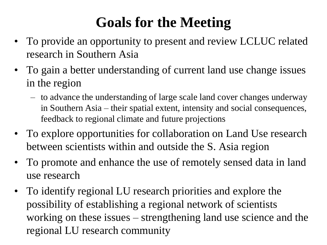### **Goals for the Meeting**

- To provide an opportunity to present and review LCLUC related research in Southern Asia
- To gain a better understanding of current land use change issues in the region
	- to advance the understanding of large scale land cover changes underway in Southern Asia – their spatial extent, intensity and social consequences, feedback to regional climate and future projections
- To explore opportunities for collaboration on Land Use research between scientists within and outside the S. Asia region
- To promote and enhance the use of remotely sensed data in land use research
- To identify regional LU research priorities and explore the possibility of establishing a regional network of scientists working on these issues – strengthening land use science and the regional LU research community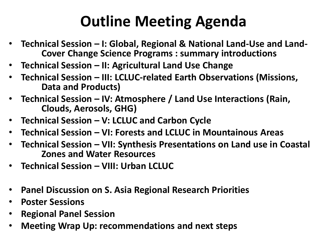## **Outline Meeting Agenda**

- **Technical Session – I: Global, Regional & National Land-Use and Land-Cover Change Science Programs : summary introductions**
- **Technical Session – II: Agricultural Land Use Change**
- **Technical Session – III: LCLUC-related Earth Observations (Missions, Data and Products)**
- **Technical Session – IV: Atmosphere / Land Use Interactions (Rain, Clouds, Aerosols, GHG)**
- **Technical Session – V: LCLUC and Carbon Cycle**
- **Technical Session – VI: Forests and LCLUC in Mountainous Areas**
- **Technical Session – VII: Synthesis Presentations on Land use in Coastal Zones and Water Resources**
- **Technical Session – VIII: Urban LCLUC**
- **Panel Discussion on S. Asia Regional Research Priorities**
- **Poster Sessions**
- **Regional Panel Session**
- **Meeting Wrap Up: recommendations and next steps**